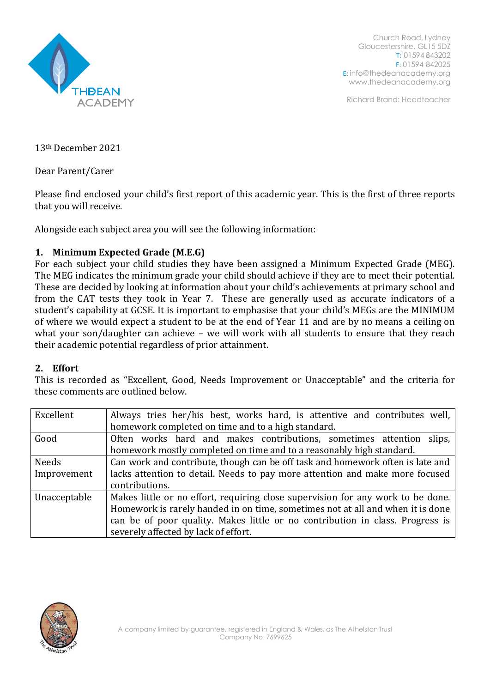

Church Road, Lydney Gloucestershire, GL15 5DZ T: 01594 843202 F: 01594 842025 E: [info@thedeanacademy.org](mailto:info@thedeanacademy.org) [www.thedeanacademy.org](http://www.thedeanacademy.org/)

Richard Brand: Headteacher

13th December 2021

Dear Parent/Carer

Please find enclosed your child's first report of this academic year. This is the first of three reports that you will receive.

Alongside each subject area you will see the following information:

## **1. Minimum Expected Grade (M.E.G)**

For each subject your child studies they have been assigned a Minimum Expected Grade (MEG). The MEG indicates the minimum grade your child should achieve if they are to meet their potential. These are decided by looking at information about your child's achievements at primary school and from the CAT tests they took in Year 7. These are generally used as accurate indicators of a student's capability at GCSE. It is important to emphasise that your child's MEGs are the MINIMUM of where we would expect a student to be at the end of Year 11 and are by no means a ceiling on what your son/daughter can achieve – we will work with all students to ensure that they reach their academic potential regardless of prior attainment.

## **2. Effort**

This is recorded as "Excellent, Good, Needs Improvement or Unacceptable" and the criteria for these comments are outlined below.

| Excellent    | Always tries her/his best, works hard, is attentive and contributes well,       |  |
|--------------|---------------------------------------------------------------------------------|--|
|              | homework completed on time and to a high standard.                              |  |
| Good         | Often works hard and makes contributions, sometimes attention slips,            |  |
|              | homework mostly completed on time and to a reasonably high standard.            |  |
| Needs        | Can work and contribute, though can be off task and homework often is late and  |  |
| Improvement  | lacks attention to detail. Needs to pay more attention and make more focused    |  |
|              | contributions.                                                                  |  |
| Unacceptable | Makes little or no effort, requiring close supervision for any work to be done. |  |
|              | Homework is rarely handed in on time, sometimes not at all and when it is done  |  |
|              | can be of poor quality. Makes little or no contribution in class. Progress is   |  |
|              | severely affected by lack of effort.                                            |  |